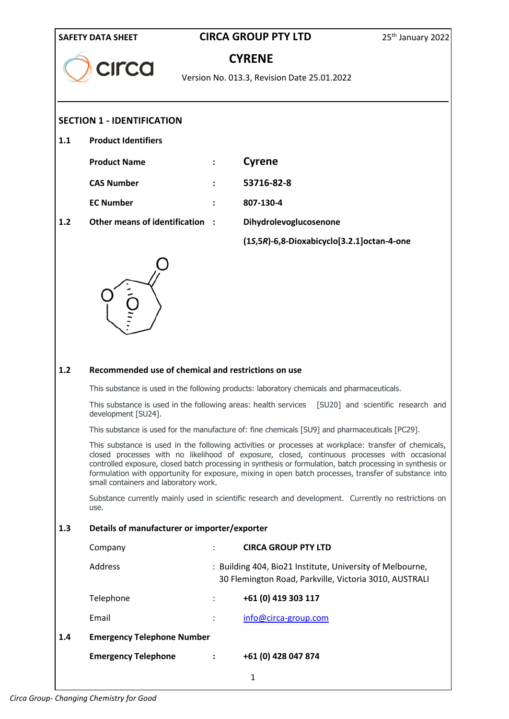| <b>SAFETY DATA SHEET</b> |                                                                                                                                              | <b>CIRCA GROUP PTY LTD</b> |                                                                                                                                                                                                                                                                                                                                                                                                                                                                                                                                                                                                                                | 25 <sup>th</sup> January 2022      |
|--------------------------|----------------------------------------------------------------------------------------------------------------------------------------------|----------------------------|--------------------------------------------------------------------------------------------------------------------------------------------------------------------------------------------------------------------------------------------------------------------------------------------------------------------------------------------------------------------------------------------------------------------------------------------------------------------------------------------------------------------------------------------------------------------------------------------------------------------------------|------------------------------------|
|                          | <b>CILCO</b>                                                                                                                                 | <b>CYRENE</b>              |                                                                                                                                                                                                                                                                                                                                                                                                                                                                                                                                                                                                                                |                                    |
|                          |                                                                                                                                              |                            | Version No. 013.3, Revision Date 25.01.2022                                                                                                                                                                                                                                                                                                                                                                                                                                                                                                                                                                                    |                                    |
|                          | <b>SECTION 1 - IDENTIFICATION</b>                                                                                                            |                            |                                                                                                                                                                                                                                                                                                                                                                                                                                                                                                                                                                                                                                |                                    |
| 1.1                      | <b>Product Identifiers</b>                                                                                                                   |                            |                                                                                                                                                                                                                                                                                                                                                                                                                                                                                                                                                                                                                                |                                    |
|                          |                                                                                                                                              |                            |                                                                                                                                                                                                                                                                                                                                                                                                                                                                                                                                                                                                                                |                                    |
|                          | <b>Product Name</b>                                                                                                                          | $\ddot{\cdot}$             | <b>Cyrene</b>                                                                                                                                                                                                                                                                                                                                                                                                                                                                                                                                                                                                                  |                                    |
|                          | <b>CAS Number</b>                                                                                                                            |                            | 53716-82-8                                                                                                                                                                                                                                                                                                                                                                                                                                                                                                                                                                                                                     |                                    |
|                          | <b>EC Number</b>                                                                                                                             |                            | 807-130-4                                                                                                                                                                                                                                                                                                                                                                                                                                                                                                                                                                                                                      |                                    |
| 1.2                      | Other means of identification :                                                                                                              |                            | Dihydrolevoglucosenone                                                                                                                                                                                                                                                                                                                                                                                                                                                                                                                                                                                                         |                                    |
|                          |                                                                                                                                              |                            | (1S,5R)-6,8-Dioxabicyclo[3.2.1]octan-4-one                                                                                                                                                                                                                                                                                                                                                                                                                                                                                                                                                                                     |                                    |
| 1.2                      | Recommended use of chemical and restrictions on use<br>This substance is used in the following areas: health services<br>development [SU24]. |                            | This substance is used in the following products: laboratory chemicals and pharmaceuticals.<br>This substance is used for the manufacture of: fine chemicals [SU9] and pharmaceuticals [PC29].<br>This substance is used in the following activities or processes at workplace: transfer of chemicals,<br>closed processes with no likelihood of exposure, closed, continuous processes with occasional<br>controlled exposure, closed batch processing in synthesis or formulation, batch processing in synthesis or<br>formulation with opportunity for exposure, mixing in open batch processes, transfer of substance into | [SU20] and scientific research and |
|                          | small containers and laboratory work.                                                                                                        |                            | Substance currently mainly used in scientific research and development. Currently no restrictions on                                                                                                                                                                                                                                                                                                                                                                                                                                                                                                                           |                                    |
|                          | use.                                                                                                                                         |                            |                                                                                                                                                                                                                                                                                                                                                                                                                                                                                                                                                                                                                                |                                    |
| 1.3                      | Details of manufacturer or importer/exporter                                                                                                 |                            |                                                                                                                                                                                                                                                                                                                                                                                                                                                                                                                                                                                                                                |                                    |
|                          | Company                                                                                                                                      |                            | <b>CIRCA GROUP PTY LTD</b>                                                                                                                                                                                                                                                                                                                                                                                                                                                                                                                                                                                                     |                                    |
|                          | Address                                                                                                                                      |                            | : Building 404, Bio21 Institute, University of Melbourne,<br>30 Flemington Road, Parkville, Victoria 3010, AUSTRALI                                                                                                                                                                                                                                                                                                                                                                                                                                                                                                            |                                    |
|                          | Telephone                                                                                                                                    |                            | +61 (0) 419 303 117                                                                                                                                                                                                                                                                                                                                                                                                                                                                                                                                                                                                            |                                    |
|                          | Email                                                                                                                                        |                            | info@circa-group.com                                                                                                                                                                                                                                                                                                                                                                                                                                                                                                                                                                                                           |                                    |
| 1.4                      | <b>Emergency Telephone Number</b>                                                                                                            |                            |                                                                                                                                                                                                                                                                                                                                                                                                                                                                                                                                                                                                                                |                                    |
|                          | <b>Emergency Telephone</b>                                                                                                                   | $\ddot{\cdot}$             | +61 (0) 428 047 874                                                                                                                                                                                                                                                                                                                                                                                                                                                                                                                                                                                                            |                                    |
|                          |                                                                                                                                              |                            | $\mathbf{1}$                                                                                                                                                                                                                                                                                                                                                                                                                                                                                                                                                                                                                   |                                    |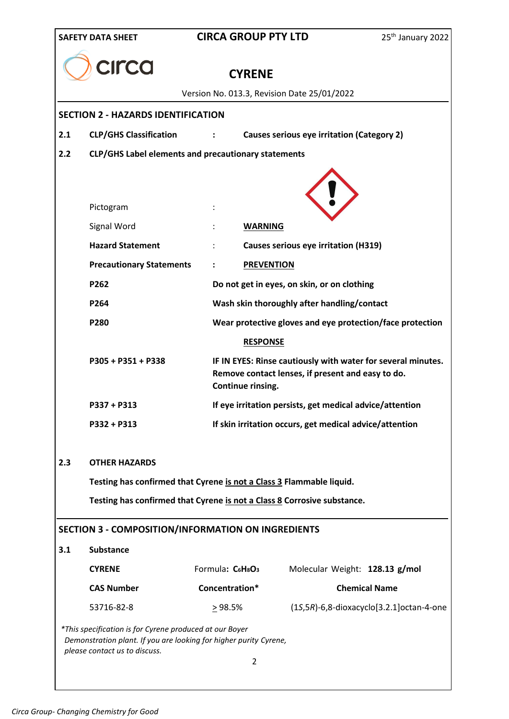|     | rca                                                                                                                                                           | <b>CYRENE</b>                        |                                                                                                                   |                                                 |
|-----|---------------------------------------------------------------------------------------------------------------------------------------------------------------|--------------------------------------|-------------------------------------------------------------------------------------------------------------------|-------------------------------------------------|
|     |                                                                                                                                                               |                                      | Version No. 013.3, Revision Date 25/01/2022                                                                       |                                                 |
|     | <b>SECTION 2 - HAZARDS IDENTIFICATION</b>                                                                                                                     |                                      |                                                                                                                   |                                                 |
| 2.1 | <b>CLP/GHS Classification</b>                                                                                                                                 |                                      | Causes serious eye irritation (Category 2)                                                                        |                                                 |
| 2.2 | CLP/GHS Label elements and precautionary statements                                                                                                           |                                      |                                                                                                                   |                                                 |
|     |                                                                                                                                                               |                                      |                                                                                                                   |                                                 |
|     |                                                                                                                                                               |                                      |                                                                                                                   |                                                 |
|     | Pictogram                                                                                                                                                     |                                      |                                                                                                                   |                                                 |
|     | Signal Word                                                                                                                                                   | <b>WARNING</b>                       |                                                                                                                   |                                                 |
|     | <b>Hazard Statement</b>                                                                                                                                       |                                      | <b>Causes serious eye irritation (H319)</b>                                                                       |                                                 |
|     | <b>Precautionary Statements</b>                                                                                                                               |                                      | <b>PREVENTION</b>                                                                                                 |                                                 |
|     | P262                                                                                                                                                          |                                      | Do not get in eyes, on skin, or on clothing                                                                       |                                                 |
|     | P264                                                                                                                                                          |                                      | Wash skin thoroughly after handling/contact                                                                       |                                                 |
|     | P280                                                                                                                                                          |                                      | Wear protective gloves and eye protection/face protection                                                         |                                                 |
|     | $P305 + P351 + P338$                                                                                                                                          | <b>RESPONSE</b><br>Continue rinsing. | IF IN EYES: Rinse cautiously with water for several minutes.<br>Remove contact lenses, if present and easy to do. |                                                 |
|     | $P337 + P313$                                                                                                                                                 |                                      | If eye irritation persists, get medical advice/attention                                                          |                                                 |
|     | P332 + P313                                                                                                                                                   |                                      | If skin irritation occurs, get medical advice/attention                                                           |                                                 |
| 2.3 | <b>OTHER HAZARDS</b>                                                                                                                                          |                                      |                                                                                                                   |                                                 |
|     | Testing has confirmed that Cyrene is not a Class 3 Flammable liquid.                                                                                          |                                      |                                                                                                                   |                                                 |
|     | Testing has confirmed that Cyrene is not a Class 8 Corrosive substance.                                                                                       |                                      |                                                                                                                   |                                                 |
|     | SECTION 3 - COMPOSITION/INFORMATION ON INGREDIENTS                                                                                                            |                                      |                                                                                                                   |                                                 |
| 3.1 | <b>Substance</b>                                                                                                                                              |                                      |                                                                                                                   |                                                 |
|     | <b>CYRENE</b>                                                                                                                                                 | Formula: C6H8O3                      | Molecular Weight: 128.13 g/mol                                                                                    |                                                 |
|     | <b>CAS Number</b>                                                                                                                                             | Concentration*                       |                                                                                                                   | <b>Chemical Name</b>                            |
|     | 53716-82-8                                                                                                                                                    | $\geq$ 98.5%                         |                                                                                                                   | $(15,5R)-6,8$ -dioxacyclo $[3.2.1]$ octan-4-one |
|     | *This specification is for Cyrene produced at our Boyer<br>Demonstration plant. If you are looking for higher purity Cyrene,<br>please contact us to discuss. |                                      |                                                                                                                   |                                                 |
|     |                                                                                                                                                               | 2                                    |                                                                                                                   |                                                 |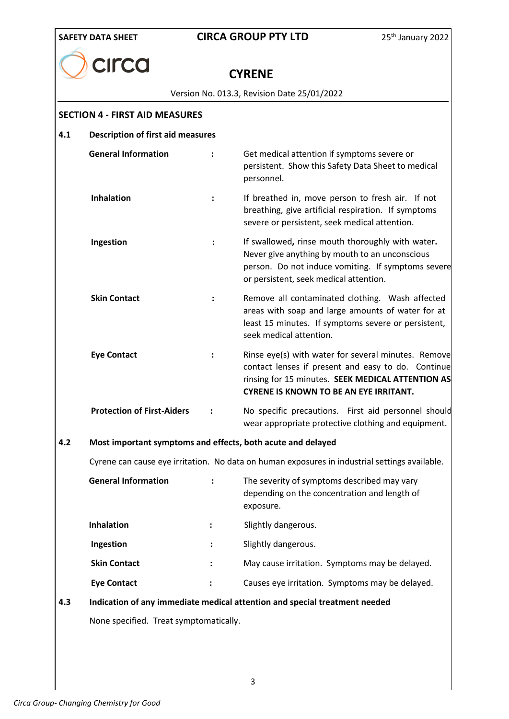**CYRENE**

Version No. 013.3, Revision Date 25/01/2022

#### **SECTION 4 - FIRST AID MEASURES**

**CILCO** 

#### **4.1 Description of first aid measures**

|   | <b>General Information</b>                                  |                | Get medical attention if symptoms severe or<br>persistent. Show this Safety Data Sheet to medical<br>personnel.                                                                                                 |  |
|---|-------------------------------------------------------------|----------------|-----------------------------------------------------------------------------------------------------------------------------------------------------------------------------------------------------------------|--|
|   | <b>Inhalation</b>                                           | $\ddot{\cdot}$ | If breathed in, move person to fresh air. If not<br>breathing, give artificial respiration. If symptoms<br>severe or persistent, seek medical attention.                                                        |  |
|   | Ingestion                                                   | $\ddot{\cdot}$ | If swallowed, rinse mouth thoroughly with water.<br>Never give anything by mouth to an unconscious<br>person. Do not induce vomiting. If symptoms severe<br>or persistent, seek medical attention.              |  |
|   | <b>Skin Contact</b>                                         | $\ddot{\cdot}$ | Remove all contaminated clothing. Wash affected<br>areas with soap and large amounts of water for at<br>least 15 minutes. If symptoms severe or persistent,<br>seek medical attention.                          |  |
|   | <b>Eye Contact</b>                                          |                | Rinse eye(s) with water for several minutes. Remove<br>contact lenses if present and easy to do. Continue<br>rinsing for 15 minutes. SEEK MEDICAL ATTENTION AS<br><b>CYRENE IS KNOWN TO BE AN EYE IRRITANT.</b> |  |
|   | <b>Protection of First-Aiders</b>                           |                | No specific precautions. First aid personnel should<br>wear appropriate protective clothing and equipment.                                                                                                      |  |
| 2 | Most important symptoms and effects, both acute and delayed |                |                                                                                                                                                                                                                 |  |
|   |                                                             |                | Cyrene can cause eye irritation. No data on human exposures in industrial settings available.                                                                                                                   |  |
|   | <b>General Information</b>                                  |                | The severity of symptoms described may vary<br>depending on the concentration and length of<br>exposure.                                                                                                        |  |
|   | <b>Inhalation</b>                                           |                | Slightly dangerous.                                                                                                                                                                                             |  |
|   | lagastian                                                   |                | $Clz$ $Hz$ , donorous                                                                                                                                                                                           |  |

#### **4.2 Most important symptoms and effects, both acute and delayed**

| ÷ | The severity of symptoms described may vary<br>depending on the concentration and length of<br>exposure. |
|---|----------------------------------------------------------------------------------------------------------|
|   | Slightly dangerous.                                                                                      |
| ÷ | Slightly dangerous.                                                                                      |
| ٠ | May cause irritation. Symptoms may be delayed.                                                           |
|   | Causes eye irritation. Symptoms may be delayed.                                                          |
|   |                                                                                                          |

# **4.3 Indication of any immediate medical attention and special treatment needed**

None specified. Treat symptomatically.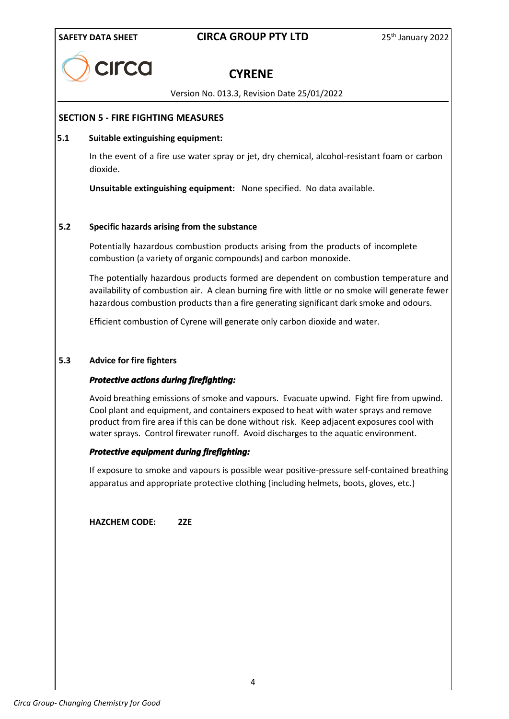

# **CYRENE**

Version No. 013.3, Revision Date 25/01/2022

#### **SECTION 5 - FIRE FIGHTING MEASURES**

#### **5.1 Suitable extinguishing equipment:**

In the event of a fire use water spray or jet, dry chemical, alcohol-resistant foam or carbon dioxide.

**Unsuitable extinguishing equipment:** None specified. No data available.

#### **5.2 Specific hazards arising from the substance**

Potentially hazardous combustion products arising from the products of incomplete combustion (a variety of organic compounds) and carbon monoxide.

The potentially hazardous products formed are dependent on combustion temperature and availability of combustion air. A clean burning fire with little or no smoke will generate fewer hazardous combustion products than a fire generating significant dark smoke and odours.

Efficient combustion of Cyrene will generate only carbon dioxide and water.

#### **5.3 Advice for fire fighters**

#### *Protective actions during firefighting:*

Avoid breathing emissions of smoke and vapours. Evacuate upwind. Fight fire from upwind. Cool plant and equipment, and containers exposed to heat with water sprays and remove product from fire area if this can be done without risk. Keep adjacent exposures cool with water sprays. Control firewater runoff. Avoid discharges to the aquatic environment.

#### *Protective equipment during firefighting:*

If exposure to smoke and vapours is possible wear positive-pressure self-contained breathing apparatus and appropriate protective clothing (including helmets, boots, gloves, etc.)

**HAZCHEM CODE: 2ZE**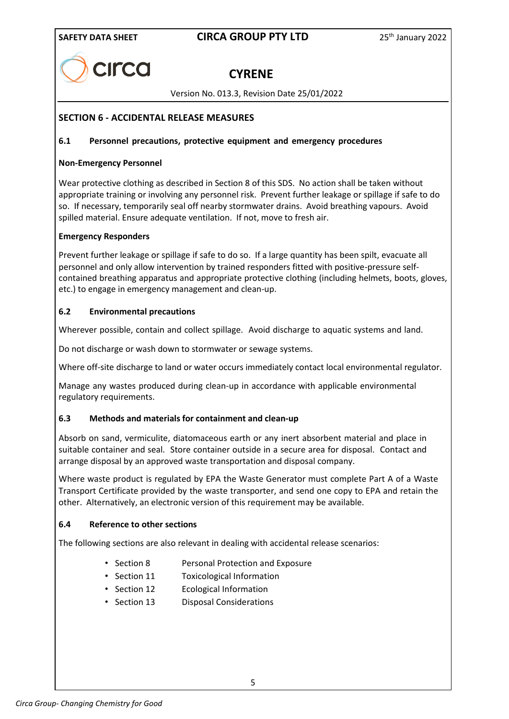

# **CYRENE**

Version No. 013.3, Revision Date 25/01/2022

#### **SECTION 6 - ACCIDENTAL RELEASE MEASURES**

#### **6.1 Personnel precautions, protective equipment and emergency procedures**

#### **Non-Emergency Personnel**

Wear protective clothing as described in Section 8 of this SDS. No action shall be taken without appropriate training or involving any personnel risk. Prevent further leakage or spillage if safe to do so. If necessary, temporarily seal off nearby stormwater drains. Avoid breathing vapours. Avoid spilled material. Ensure adequate ventilation. If not, move to fresh air.

#### **Emergency Responders**

Prevent further leakage or spillage if safe to do so. If a large quantity has been spilt, evacuate all personnel and only allow intervention by trained responders fitted with positive-pressure selfcontained breathing apparatus and appropriate protective clothing (including helmets, boots, gloves, etc.) to engage in emergency management and clean-up.

#### **6.2 Environmental precautions**

Wherever possible, contain and collect spillage. Avoid discharge to aquatic systems and land.

Do not discharge or wash down to stormwater or sewage systems.

Where off-site discharge to land or water occurs immediately contact local environmental regulator.

Manage any wastes produced during clean-up in accordance with applicable environmental regulatory requirements.

#### **6.3 Methods and materials for containment and clean-up**

Absorb on sand, vermiculite, diatomaceous earth or any inert absorbent material and place in suitable container and seal. Store container outside in a secure area for disposal. Contact and arrange disposal by an approved waste transportation and disposal company.

Where waste product is regulated by EPA the Waste Generator must complete Part A of a Waste Transport Certificate provided by the waste transporter, and send one copy to EPA and retain the other. Alternatively, an electronic version of this requirement may be available.

#### **6.4 Reference to other sections**

The following sections are also relevant in dealing with accidental release scenarios:

- Section 8 Personal Protection and Exposure
- Section 11 Toxicological Information
- Section 12 Ecological Information
- Section 13 Disposal Considerations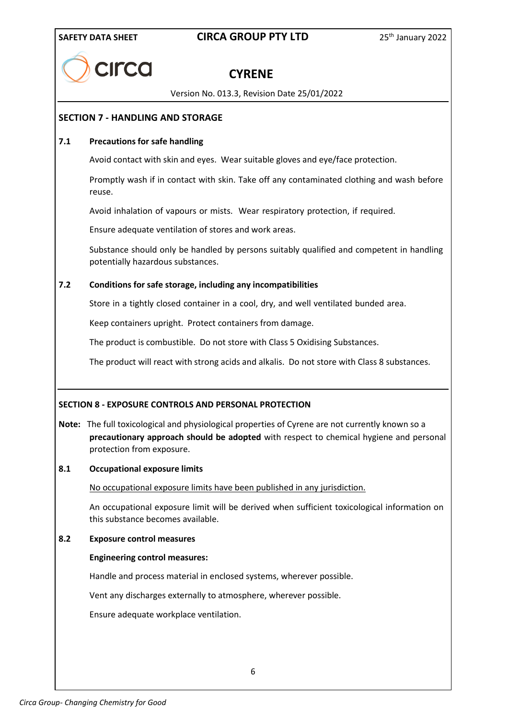

# **CYRENE**

Version No. 013.3, Revision Date 25/01/2022

#### **SECTION 7 - HANDLING AND STORAGE**

#### **7.1 Precautions for safe handling**

Avoid contact with skin and eyes. Wear suitable gloves and eye/face protection.

Promptly wash if in contact with skin. Take off any contaminated clothing and wash before reuse.

Avoid inhalation of vapours or mists. Wear respiratory protection, if required.

Ensure adequate ventilation of stores and work areas.

Substance should only be handled by persons suitably qualified and competent in handling potentially hazardous substances.

#### **7.2 Conditions for safe storage, including any incompatibilities**

Store in a tightly closed container in a cool, dry, and well ventilated bunded area.

Keep containers upright. Protect containers from damage.

The product is combustible. Do not store with Class 5 Oxidising Substances.

The product will react with strong acids and alkalis. Do not store with Class 8 substances.

#### **SECTION 8 - EXPOSURE CONTROLS AND PERSONAL PROTECTION**

**Note:** The full toxicological and physiological properties of Cyrene are not currently known so a **precautionary approach should be adopted** with respect to chemical hygiene and personal protection from exposure.

#### **8.1 Occupational exposure limits**

No occupational exposure limits have been published in any jurisdiction.

An occupational exposure limit will be derived when sufficient toxicological information on this substance becomes available.

#### **8.2 Exposure control measures**

#### **Engineering control measures:**

Handle and process material in enclosed systems, wherever possible.

Vent any discharges externally to atmosphere, wherever possible.

Ensure adequate workplace ventilation.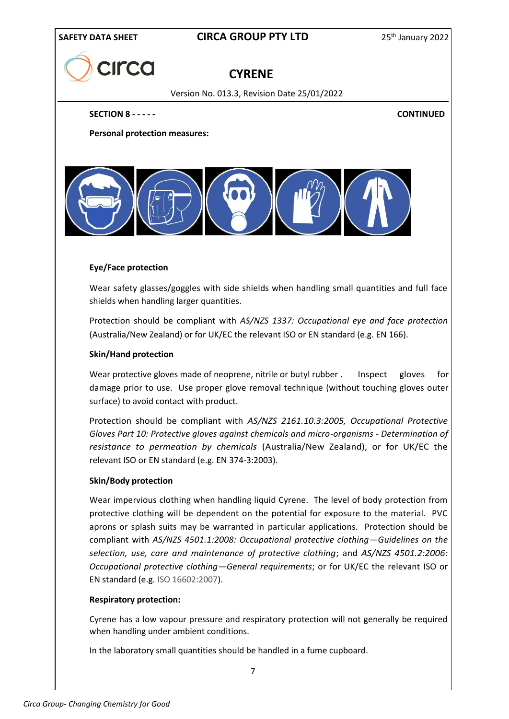

# **CYRENE**

Version No. 013.3, Revision Date 25/01/2022

**SECTION 8 - - - - - CONTINUED**

**Personal protection measures:**



#### **Eye/Face protection**

Wear safety glasses/goggles with side shields when handling small quantities and full face shields when handling larger quantities.

Protection should be compliant with *AS/NZS 1337: Occupational eye and face protection*  (Australia/New Zealand) or for UK/EC the relevant ISO or EN standard (e.g. EN 166).

#### **Skin/Hand protection**

Wear protective gloves made of neoprene, nitrile or butyl rubber . Inspect gloves for damage prior to use. Use proper glove removal technique (without touching gloves outer surface) to avoid contact with product.

Protection should be compliant with *AS/NZS 2161.10.3:2005, Occupational Protective Gloves Part 10: Protective gloves against chemicals and micro-organisms - Determination of resistance to permeation by chemicals* (Australia/New Zealand), or for UK/EC the relevant ISO or EN standard (e.g. EN 374-3:2003).

#### **Skin/Body protection**

Wear impervious clothing when handling liquid Cyrene. The level of body protection from protective clothing will be dependent on the potential for exposure to the material. PVC aprons or splash suits may be warranted in particular applications. Protection should be compliant with *AS/NZS 4501.1:2008: Occupational protective clothing—Guidelines on the selection, use, care and maintenance of protective clothing*; and *AS/NZS 4501.2:2006: Occupational protective clothing—General requirements*; or for UK/EC the relevant ISO or EN standard (e.g. ISO 16602:2007).

#### **Respiratory protection:**

Cyrene has a low vapour pressure and respiratory protection will not generally be required when handling under ambient conditions.

In the laboratory small quantities should be handled in a fume cupboard.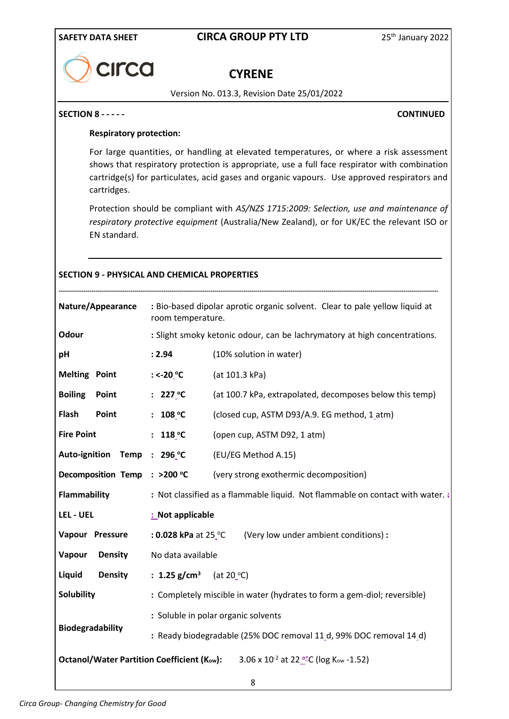# **CILCO**

# **CYRENE**

Version No. 013.3, Revision Date 25/01/2022

#### **SECTION 8 - - - - - CONTINUED**

#### **Respiratory protection:**

For large quantities, or handling at elevated temperatures, or where a risk assessment shows that respiratory protection is appropriate, use a full face respirator with combination cartridge(s) for particulates, acid gases and organic vapours. Use approved respirators and cartridges.

Protection should be compliant with *AS/NZS 1715:2009: Selection, use and maintenance of respiratory protective equipment* (Australia/New Zealand), or for UK/EC the relevant ISO or EN standard.

#### **SECTION 9 - PHYSICAL AND CHEMICAL PROPERTIES**

| Nature/Appearance            | : Bio-based dipolar aprotic organic solvent. Clear to pale yellow liquid at<br>room temperature. |                                                                                                                |  |  |
|------------------------------|--------------------------------------------------------------------------------------------------|----------------------------------------------------------------------------------------------------------------|--|--|
| Odour                        |                                                                                                  | : Slight smoky ketonic odour, can be lachrymatory at high concentrations.                                      |  |  |
| pH                           | : 2.94                                                                                           | (10% solution in water)                                                                                        |  |  |
| <b>Melting Point</b>         | : <-20 $^{\circ}$ C                                                                              | (at 101.3 kPa)                                                                                                 |  |  |
| <b>Boiling</b><br>Point      | : $227\degree$ C                                                                                 | (at 100.7 kPa, extrapolated, decomposes below this temp)                                                       |  |  |
| Flash<br>Point               | : $108 °C$                                                                                       | (closed cup, ASTM D93/A.9. EG method, 1_atm)                                                                   |  |  |
| <b>Fire Point</b>            | : $118 °C$                                                                                       | (open cup, ASTM D92, 1 atm)                                                                                    |  |  |
| Auto-ignition Temp : 296 °C  |                                                                                                  | (EU/EG Method A.15)                                                                                            |  |  |
| Decomposition Temp : >200 °C |                                                                                                  | (very strong exothermic decomposition)                                                                         |  |  |
| <b>Flammability</b>          | : Not classified as a flammable liquid. Not flammable on contact with water. :                   |                                                                                                                |  |  |
| LEL - UEL                    | : Not applicable                                                                                 |                                                                                                                |  |  |
| Vapour Pressure              |                                                                                                  | : 0.028 kPa at 25 °C (Very low under ambient conditions) :                                                     |  |  |
| Vapour<br><b>Density</b>     | No data available                                                                                |                                                                                                                |  |  |
| Liquid<br><b>Density</b>     | : 1.25 g/cm <sup>3</sup> (at 20 <sup>o</sup> C)                                                  |                                                                                                                |  |  |
| <b>Solubility</b>            | : Completely miscible in water (hydrates to form a gem-diol; reversible)                         |                                                                                                                |  |  |
|                              | : Soluble in polar organic solvents                                                              |                                                                                                                |  |  |
| Biodegradability             | : Ready biodegradable (25% DOC removal 11_d, 99% DOC removal 14_d)                               |                                                                                                                |  |  |
|                              |                                                                                                  | <b>Octanol/Water Partition Coefficient (Kow):</b> 3.06 x 10 <sup>-2</sup> at 22 <sup>o</sup> C (log Kow -1.52) |  |  |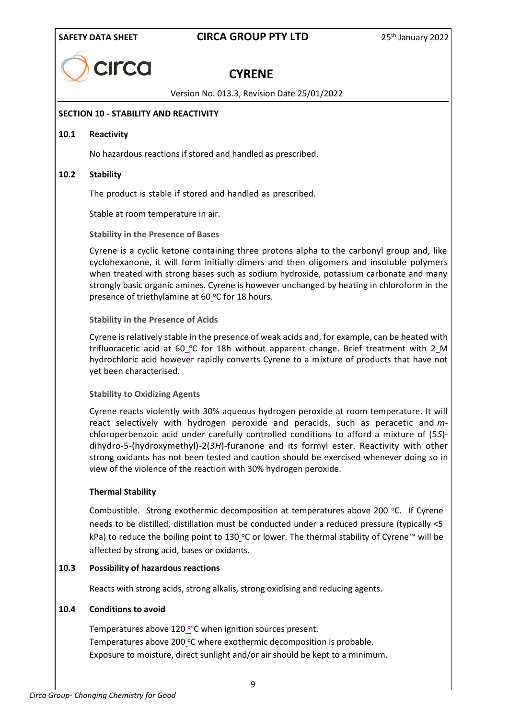

# **CYRENE**

Version No. 013.3, Revision Date 25/01/2022

#### **SECTION 10 - STABILITY AND REACTIVITY**

#### **10.1 Reactivity**

No hazardous reactions if stored and handled as prescribed.

#### **10.2 Stability**

The product is stable if stored and handled as prescribed.

Stable at room temperature in air.

**Stability in the Presence of Bases**

Cyrene is a cyclic ketone containing three protons alpha to the carbonyl group and, like cyclohexanone, it will form initially dimers and then oligomers and insoluble polymers when treated with strong bases such as sodium hydroxide, potassium carbonate and many strongly basic organic amines. Cyrene is however unchanged by heating in chloroform in the presence of triethylamine at 60 $\degree$ C for 18 hours.

**Stability in the Presence of Acids**

Cyrene is relatively stable in the presence of weak acids and, for example, can be heated with trifluoracetic acid at 60 °C for 18h without apparent change. Brief treatment with 2 M hydrochloric acid however rapidly converts Cyrene to a mixture of products that have not yet been characterised.

#### **Stability to Oxidizing Agents**

Cyrene reacts violently with 30% aqueous hydrogen peroxide at room temperature. It will react selectively with hydrogen peroxide and peracids, such as peracetic and *m*chloroperbenzoic acid under carefully controlled conditions to afford a mixture of (5*S*) dihydro-5-(hydroxymethyl)-2(*3H*)-furanone and its formyl ester. Reactivity with other strong oxidants has not been tested and caution should be exercised whenever doing so in view of the violence of the reaction with 30% hydrogen peroxide.

#### **Thermal Stability**

Combustible. Strong exothermic decomposition at temperatures above 200  $\degree$ C. If Cyrene needs to be distilled, distillation must be conducted under a reduced pressure (typically <5 kPa) to reduce the boiling point to 130 $^{\circ}$ C or lower. The thermal stability of Cyrene™ will be affected by strong acid, bases or oxidants.

#### **10.3 Possibility of hazardous reactions**

Reacts with strong acids, strong alkalis, strong oxidising and reducing agents.

#### **10.4 Conditions to avoid**

Temperatures above 120 **<sup>o</sup>** °C when ignition sources present. Temperatures above 200 °C where exothermic decomposition is probable. Exposure to moisture, direct sunlight and/or air should be kept to a minimum.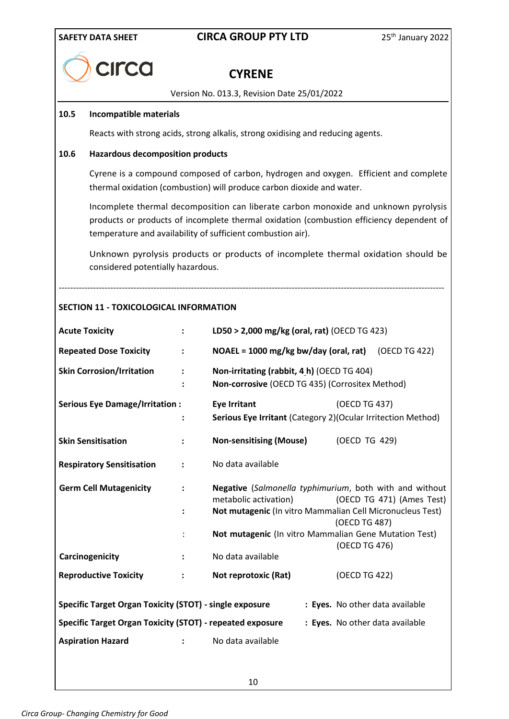1

# **SAFETY DATA SHEET CIRCA GROUP PTY LTD** 25<sup>th</sup> January 2022

| CILCO |
|-------|
|       |
|       |

# **CYRENE**

Version No. 013.3, Revision Date 25/01/2022

#### **10.5 Incompatible materials**

Reacts with strong acids, strong alkalis, strong oxidising and reducing agents.

#### **10.6 Hazardous decomposition products**

Cyrene is a compound composed of carbon, hydrogen and oxygen. Efficient and complete thermal oxidation (combustion) will produce carbon dioxide and water.

Incomplete thermal decomposition can liberate carbon monoxide and unknown pyrolysis products or products of incomplete thermal oxidation (combustion efficiency dependent of temperature and availability of sufficient combustion air).

Unknown pyrolysis products or products of incomplete thermal oxidation should be considered potentially hazardous.

--------------------------------------------------------------------------------------------------------------------------------------

#### **SECTION 11 - TOXICOLOGICAL INFORMATION**

| <b>Acute Toxicity</b>                                                                             | $\ddot{\phantom{a}}$ | LD50 > 2,000 mg/kg (oral, rat) (OECD TG 423)                                                                                                  |               |                                 |
|---------------------------------------------------------------------------------------------------|----------------------|-----------------------------------------------------------------------------------------------------------------------------------------------|---------------|---------------------------------|
| <b>Repeated Dose Toxicity</b>                                                                     | $\ddot{\phantom{a}}$ | NOAEL = 1000 mg/kg bw/day (oral, rat)                                                                                                         |               | (OECD TG 422)                   |
| <b>Skin Corrosion/Irritation</b>                                                                  | $\ddot{\cdot}$       | Non-irritating (rabbit, 4_h) (OECD TG 404)<br>Non-corrosive (OECD TG 435) (Corrositex Method)                                                 |               |                                 |
| <b>Serious Eye Damage/Irritation:</b>                                                             |                      | <b>Eye Irritant</b><br>Serious Eye Irritant (Category 2) (Ocular Irritection Method)                                                          | (OECD TG 437) |                                 |
| <b>Skin Sensitisation</b>                                                                         |                      | <b>Non-sensitising (Mouse)</b>                                                                                                                | (OECD TG 429) |                                 |
| <b>Respiratory Sensitisation</b>                                                                  | $\ddot{\cdot}$       | No data available                                                                                                                             |               |                                 |
| <b>Germ Cell Mutagenicity</b>                                                                     | $\ddot{\cdot}$       | Negative (Salmonella typhimurium, both with and without<br>metabolic activation)<br>Not mutagenic (In vitro Mammalian Cell Micronucleus Test) | (OECD TG 487) | (OECD TG 471) (Ames Test)       |
|                                                                                                   |                      | Not mutagenic (In vitro Mammalian Gene Mutation Test)                                                                                         | (OECD TG 476) |                                 |
| Carcinogenicity                                                                                   | $\ddot{\cdot}$       | No data available                                                                                                                             |               |                                 |
| <b>Reproductive Toxicity</b>                                                                      | $\ddot{\cdot}$       | Not reprotoxic (Rat)                                                                                                                          | (OECD TG 422) |                                 |
| <b>Specific Target Organ Toxicity (STOT) - single exposure</b><br>: Eyes. No other data available |                      |                                                                                                                                               |               |                                 |
| <b>Specific Target Organ Toxicity (STOT) - repeated exposure</b>                                  |                      |                                                                                                                                               |               | : Eyes. No other data available |
| <b>Aspiration Hazard</b>                                                                          |                      | No data available                                                                                                                             |               |                                 |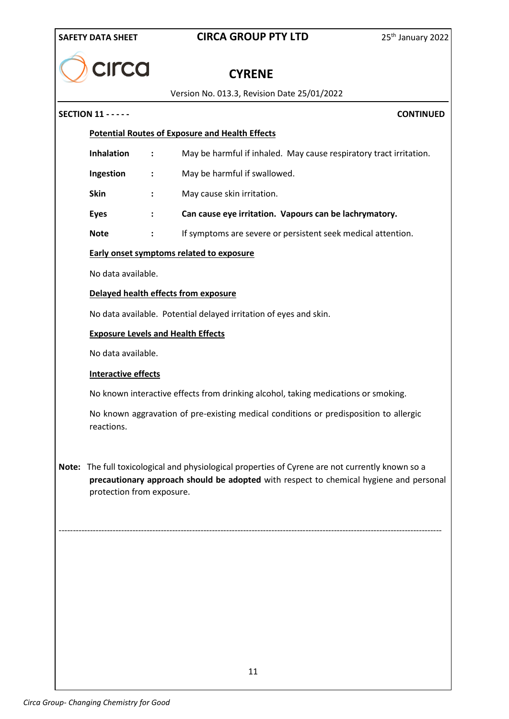| <b>SAFETY DATA SHEET</b> |  |
|--------------------------|--|

# **CIRCA GROUP PTY LTD** 25<sup>th</sup> January 2022

| CILCO |
|-------|
|       |

# **CYRENE**

Version No. 013.3, Revision Date 25/01/2022

# **SECTION 11 - - - - - CONTINUED Potential Routes of Exposure and Health Effects Inhalation :** May be harmful if inhaled. May cause respiratory tract irritation. **Ingestion :** May be harmful if swallowed. **Skin :** May cause skin irritation. **Eyes : Can cause eye irritation. Vapours can be lachrymatory. Note :** If symptoms are severe or persistent seek medical attention. **Early onset symptoms related to exposure** No data available. **Delayed health effects from exposure** No data available. Potential delayed irritation of eyes and skin. **Exposure Levels and Health Effects** No data available. **Interactive effects** No known interactive effects from drinking alcohol, taking medications or smoking. No known aggravation of pre-existing medical conditions or predisposition to allergic reactions. **Note:** The full toxicological and physiological properties of Cyrene are not currently known so a **precautionary approach should be adopted** with respect to chemical hygiene and personal protection from exposure. ---------------------------------------------------------------------------------------------------------------------------------------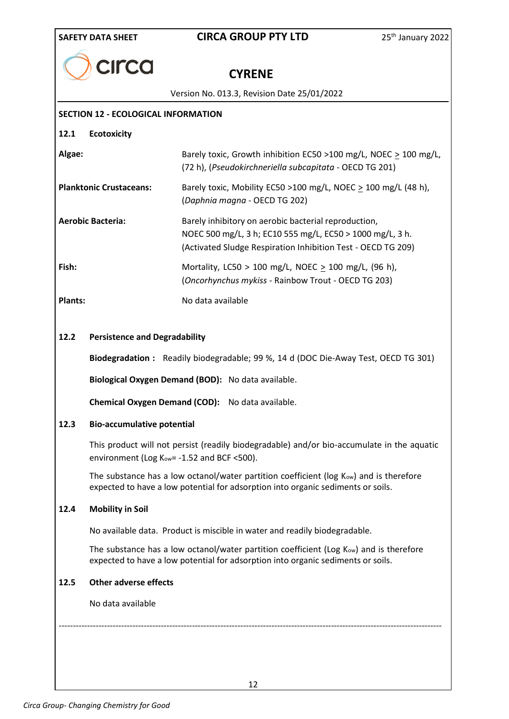|  | CILCO |
|--|-------|
|--|-------|

# **CYRENE**

Version No. 013.3, Revision Date 25/01/2022

|                                              | <b>VEISIUII INU. U13.3, INEVISIUII DATE ZJ/U1/ZUZZ</b>                                                                                                                            |
|----------------------------------------------|-----------------------------------------------------------------------------------------------------------------------------------------------------------------------------------|
| <b>SECTION 12 - ECOLOGICAL INFORMATION</b>   |                                                                                                                                                                                   |
| <b>Ecotoxicity</b><br>12.1                   |                                                                                                                                                                                   |
| Algae:                                       | Barely toxic, Growth inhibition EC50 >100 mg/L, NOEC $\geq$ 100 mg/L,<br>(72 h), (Pseudokirchneriella subcapitata - OECD TG 201)                                                  |
| <b>Planktonic Crustaceans:</b>               | Barely toxic, Mobility EC50 >100 mg/L, NOEC > 100 mg/L (48 h),<br>(Daphnia magna - OECD TG 202)                                                                                   |
| <b>Aerobic Bacteria:</b>                     | Barely inhibitory on aerobic bacterial reproduction,<br>NOEC 500 mg/L, 3 h; EC10 555 mg/L, EC50 > 1000 mg/L, 3 h.<br>(Activated Sludge Respiration Inhibition Test - OECD TG 209) |
| Fish:                                        | Mortality, LC50 > 100 mg/L, NOEC $\geq$ 100 mg/L, (96 h),<br>(Oncorhynchus mykiss - Rainbow Trout - OECD TG 203)                                                                  |
| <b>Plants:</b>                               | No data available                                                                                                                                                                 |
| <b>Persistence and Degradability</b><br>12.2 |                                                                                                                                                                                   |
|                                              | Biodegradation: Readily biodegradable; 99 %, 14 d (DOC Die-Away Test, OECD TG 301)                                                                                                |

**Biological Oxygen Demand (BOD):** No data available.

**Chemical Oxygen Demand (COD):** No data available.

#### **12.3 Bio-accumulative potential**

This product will not persist (readily biodegradable) and/or bio-accumulate in the aquatic environment (Log K<sub>ow</sub> = - 1.52 and BCF < 500).

The substance has a low octanol/water partition coefficient (log Kow) and is therefore expected to have a low potential for adsorption into organic sediments or soils.

#### **12.4 Mobility in Soil**

No available data.Product is miscible in water and readily biodegradable.

The substance has a low octanol/water partition coefficient (Log Kow) and is therefore expected to have a low potential for adsorption into organic sediments or soils.

#### **12.5 Other adverse effects**

No data available

---------------------------------------------------------------------------------------------------------------------------------------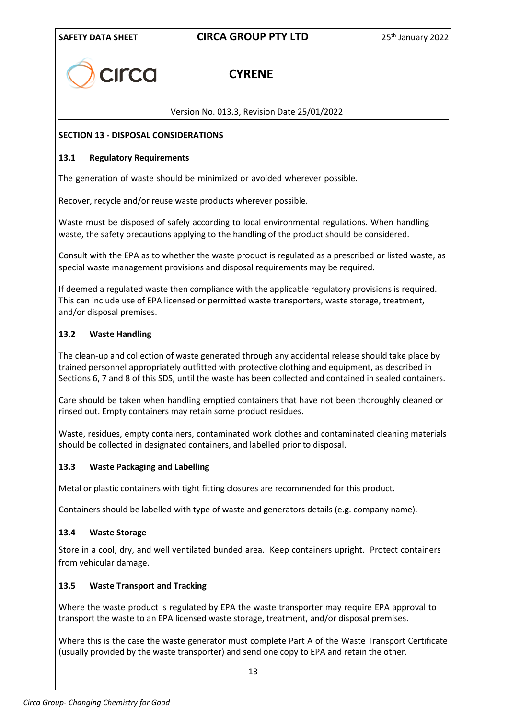

# **CYRENE**

Version No. 013.3, Revision Date 25/01/2022

#### **SECTION 13 - DISPOSAL CONSIDERATIONS**

#### **13.1 Regulatory Requirements**

The generation of waste should be minimized or avoided wherever possible.

Recover, recycle and/or reuse waste products wherever possible.

Waste must be disposed of safely according to local environmental regulations. When handling waste, the safety precautions applying to the handling of the product should be considered.

Consult with the EPA as to whether the waste product is regulated as a prescribed or listed waste, as special waste management provisions and disposal requirements may be required.

If deemed a regulated waste then compliance with the applicable regulatory provisions is required. This can include use of EPA licensed or permitted waste transporters, waste storage, treatment, and/or disposal premises.

#### **13.2 Waste Handling**

The clean-up and collection of waste generated through any accidental release should take place by trained personnel appropriately outfitted with protective clothing and equipment, as described in Sections 6, 7 and 8 of this SDS, until the waste has been collected and contained in sealed containers.

Care should be taken when handling emptied containers that have not been thoroughly cleaned or rinsed out. Empty containers may retain some product residues.

Waste, residues, empty containers, contaminated work clothes and contaminated cleaning materials should be collected in designated containers, and labelled prior to disposal.

#### **13.3 Waste Packaging and Labelling**

Metal or plastic containers with tight fitting closures are recommended for this product.

Containers should be labelled with type of waste and generators details (e.g. company name).

#### **13.4 Waste Storage**

Store in a cool, dry, and well ventilated bunded area. Keep containers upright. Protect containers from vehicular damage.

#### **13.5 Waste Transport and Tracking**

Where the waste product is regulated by EPA the waste transporter may require EPA approval to transport the waste to an EPA licensed waste storage, treatment, and/or disposal premises.

Where this is the case the waste generator must complete Part A of the Waste Transport Certificate (usually provided by the waste transporter) and send one copy to EPA and retain the other.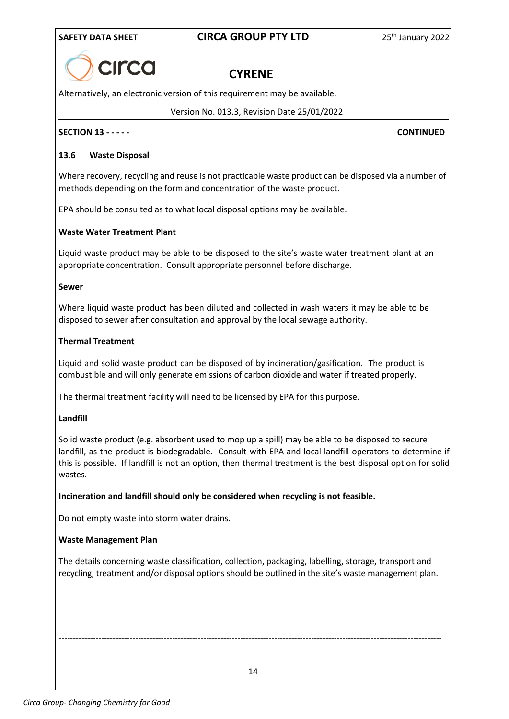

# **CYRENE**

Alternatively, an electronic version of this requirement may be available.

Version No. 013.3, Revision Date 25/01/2022

#### **SECTION 13 - - - - - CONTINUED**

#### **13.6 Waste Disposal**

Where recovery, recycling and reuse is not practicable waste product can be disposed via a number of methods depending on the form and concentration of the waste product.

EPA should be consulted as to what local disposal options may be available.

#### **Waste Water Treatment Plant**

Liquid waste product may be able to be disposed to the site's waste water treatment plant at an appropriate concentration. Consult appropriate personnel before discharge.

#### **Sewer**

Where liquid waste product has been diluted and collected in wash waters it may be able to be disposed to sewer after consultation and approval by the local sewage authority.

#### **Thermal Treatment**

Liquid and solid waste product can be disposed of by incineration/gasification. The product is combustible and will only generate emissions of carbon dioxide and water if treated properly.

The thermal treatment facility will need to be licensed by EPA for this purpose.

#### **Landfill**

Solid waste product (e.g. absorbent used to mop up a spill) may be able to be disposed to secure landfill, as the product is biodegradable. Consult with EPA and local landfill operators to determine if this is possible. If landfill is not an option, then thermal treatment is the best disposal option for solid wastes.

**Incineration and landfill should only be considered when recycling is not feasible.**

Do not empty waste into storm water drains.

#### **Waste Management Plan**

The details concerning waste classification, collection, packaging, labelling, storage, transport and recycling, treatment and/or disposal options should be outlined in the site's waste management plan.

14

---------------------------------------------------------------------------------------------------------------------------------------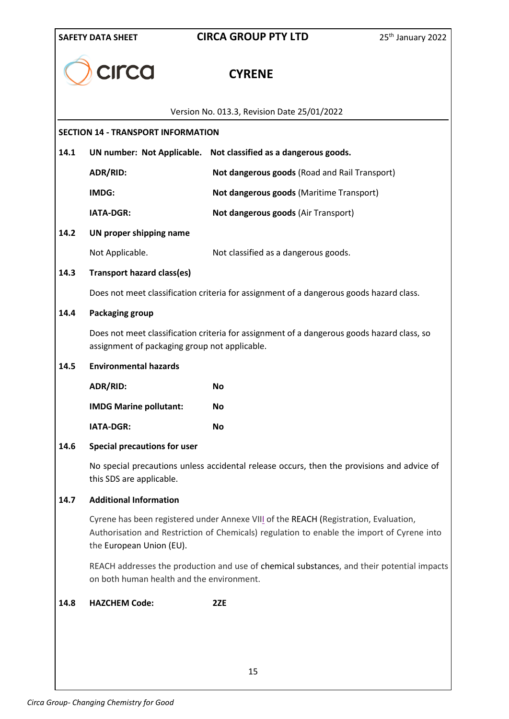| <b>CILCO</b><br><b>CYRENE</b><br>Version No. 013.3, Revision Date 25/01/2022<br><b>SECTION 14 - TRANSPORT INFORMATION</b><br>14.1<br><b>UN number: Not Applicable.</b><br>Not classified as a dangerous goods.<br>ADR/RID:<br>Not dangerous goods (Road and Rail Transport)<br>IMDG:<br>Not dangerous goods (Maritime Transport)<br><b>IATA-DGR:</b><br>Not dangerous goods (Air Transport)<br>14.2<br>UN proper shipping name<br>Not Applicable.<br>Not classified as a dangerous goods.<br>14.3<br><b>Transport hazard class(es)</b><br>Does not meet classification criteria for assignment of a dangerous goods hazard class.<br>14.4<br>Packaging group<br>Does not meet classification criteria for assignment of a dangerous goods hazard class, so<br>assignment of packaging group not applicable.<br>14.5<br><b>Environmental hazards</b><br>ADR/RID:<br><b>No</b><br><b>IMDG Marine pollutant:</b><br>No<br><b>IATA-DGR:</b><br>No<br>14.6<br><b>Special precautions for user</b><br>No special precautions unless accidental release occurs, then the provisions and advice of<br>this SDS are applicable.<br><b>Additional Information</b><br>14.7<br>Cyrene has been registered under Annexe VIII of the REACH (Registration, Evaluation,<br>Authorisation and Restriction of Chemicals) regulation to enable the import of Cyrene into<br>the European Union (EU).<br>REACH addresses the production and use of chemical substances, and their potential impacts<br>on both human health and the environment.<br>14.8<br><b>HAZCHEM Code:</b><br>2ZE | <b>SAFETY DATA SHEET</b> | <b>CIRCA GROUP PTY LTD</b> | 25 <sup>th</sup> January 2022 |  |  |
|---------------------------------------------------------------------------------------------------------------------------------------------------------------------------------------------------------------------------------------------------------------------------------------------------------------------------------------------------------------------------------------------------------------------------------------------------------------------------------------------------------------------------------------------------------------------------------------------------------------------------------------------------------------------------------------------------------------------------------------------------------------------------------------------------------------------------------------------------------------------------------------------------------------------------------------------------------------------------------------------------------------------------------------------------------------------------------------------------------------------------------------------------------------------------------------------------------------------------------------------------------------------------------------------------------------------------------------------------------------------------------------------------------------------------------------------------------------------------------------------------------------------------------------------------------------------|--------------------------|----------------------------|-------------------------------|--|--|
|                                                                                                                                                                                                                                                                                                                                                                                                                                                                                                                                                                                                                                                                                                                                                                                                                                                                                                                                                                                                                                                                                                                                                                                                                                                                                                                                                                                                                                                                                                                                                                     |                          |                            |                               |  |  |
|                                                                                                                                                                                                                                                                                                                                                                                                                                                                                                                                                                                                                                                                                                                                                                                                                                                                                                                                                                                                                                                                                                                                                                                                                                                                                                                                                                                                                                                                                                                                                                     |                          |                            |                               |  |  |
|                                                                                                                                                                                                                                                                                                                                                                                                                                                                                                                                                                                                                                                                                                                                                                                                                                                                                                                                                                                                                                                                                                                                                                                                                                                                                                                                                                                                                                                                                                                                                                     |                          |                            |                               |  |  |
|                                                                                                                                                                                                                                                                                                                                                                                                                                                                                                                                                                                                                                                                                                                                                                                                                                                                                                                                                                                                                                                                                                                                                                                                                                                                                                                                                                                                                                                                                                                                                                     |                          |                            |                               |  |  |
|                                                                                                                                                                                                                                                                                                                                                                                                                                                                                                                                                                                                                                                                                                                                                                                                                                                                                                                                                                                                                                                                                                                                                                                                                                                                                                                                                                                                                                                                                                                                                                     |                          |                            |                               |  |  |
|                                                                                                                                                                                                                                                                                                                                                                                                                                                                                                                                                                                                                                                                                                                                                                                                                                                                                                                                                                                                                                                                                                                                                                                                                                                                                                                                                                                                                                                                                                                                                                     |                          |                            |                               |  |  |
|                                                                                                                                                                                                                                                                                                                                                                                                                                                                                                                                                                                                                                                                                                                                                                                                                                                                                                                                                                                                                                                                                                                                                                                                                                                                                                                                                                                                                                                                                                                                                                     |                          |                            |                               |  |  |
|                                                                                                                                                                                                                                                                                                                                                                                                                                                                                                                                                                                                                                                                                                                                                                                                                                                                                                                                                                                                                                                                                                                                                                                                                                                                                                                                                                                                                                                                                                                                                                     |                          |                            |                               |  |  |
|                                                                                                                                                                                                                                                                                                                                                                                                                                                                                                                                                                                                                                                                                                                                                                                                                                                                                                                                                                                                                                                                                                                                                                                                                                                                                                                                                                                                                                                                                                                                                                     |                          |                            |                               |  |  |
|                                                                                                                                                                                                                                                                                                                                                                                                                                                                                                                                                                                                                                                                                                                                                                                                                                                                                                                                                                                                                                                                                                                                                                                                                                                                                                                                                                                                                                                                                                                                                                     |                          |                            |                               |  |  |
|                                                                                                                                                                                                                                                                                                                                                                                                                                                                                                                                                                                                                                                                                                                                                                                                                                                                                                                                                                                                                                                                                                                                                                                                                                                                                                                                                                                                                                                                                                                                                                     |                          |                            |                               |  |  |
|                                                                                                                                                                                                                                                                                                                                                                                                                                                                                                                                                                                                                                                                                                                                                                                                                                                                                                                                                                                                                                                                                                                                                                                                                                                                                                                                                                                                                                                                                                                                                                     |                          |                            |                               |  |  |
|                                                                                                                                                                                                                                                                                                                                                                                                                                                                                                                                                                                                                                                                                                                                                                                                                                                                                                                                                                                                                                                                                                                                                                                                                                                                                                                                                                                                                                                                                                                                                                     |                          |                            |                               |  |  |
|                                                                                                                                                                                                                                                                                                                                                                                                                                                                                                                                                                                                                                                                                                                                                                                                                                                                                                                                                                                                                                                                                                                                                                                                                                                                                                                                                                                                                                                                                                                                                                     |                          |                            |                               |  |  |
|                                                                                                                                                                                                                                                                                                                                                                                                                                                                                                                                                                                                                                                                                                                                                                                                                                                                                                                                                                                                                                                                                                                                                                                                                                                                                                                                                                                                                                                                                                                                                                     |                          |                            |                               |  |  |
|                                                                                                                                                                                                                                                                                                                                                                                                                                                                                                                                                                                                                                                                                                                                                                                                                                                                                                                                                                                                                                                                                                                                                                                                                                                                                                                                                                                                                                                                                                                                                                     |                          |                            |                               |  |  |
|                                                                                                                                                                                                                                                                                                                                                                                                                                                                                                                                                                                                                                                                                                                                                                                                                                                                                                                                                                                                                                                                                                                                                                                                                                                                                                                                                                                                                                                                                                                                                                     |                          |                            |                               |  |  |
|                                                                                                                                                                                                                                                                                                                                                                                                                                                                                                                                                                                                                                                                                                                                                                                                                                                                                                                                                                                                                                                                                                                                                                                                                                                                                                                                                                                                                                                                                                                                                                     |                          |                            |                               |  |  |
|                                                                                                                                                                                                                                                                                                                                                                                                                                                                                                                                                                                                                                                                                                                                                                                                                                                                                                                                                                                                                                                                                                                                                                                                                                                                                                                                                                                                                                                                                                                                                                     |                          |                            |                               |  |  |
|                                                                                                                                                                                                                                                                                                                                                                                                                                                                                                                                                                                                                                                                                                                                                                                                                                                                                                                                                                                                                                                                                                                                                                                                                                                                                                                                                                                                                                                                                                                                                                     |                          |                            |                               |  |  |
|                                                                                                                                                                                                                                                                                                                                                                                                                                                                                                                                                                                                                                                                                                                                                                                                                                                                                                                                                                                                                                                                                                                                                                                                                                                                                                                                                                                                                                                                                                                                                                     |                          |                            |                               |  |  |
|                                                                                                                                                                                                                                                                                                                                                                                                                                                                                                                                                                                                                                                                                                                                                                                                                                                                                                                                                                                                                                                                                                                                                                                                                                                                                                                                                                                                                                                                                                                                                                     |                          |                            |                               |  |  |
|                                                                                                                                                                                                                                                                                                                                                                                                                                                                                                                                                                                                                                                                                                                                                                                                                                                                                                                                                                                                                                                                                                                                                                                                                                                                                                                                                                                                                                                                                                                                                                     |                          |                            |                               |  |  |
|                                                                                                                                                                                                                                                                                                                                                                                                                                                                                                                                                                                                                                                                                                                                                                                                                                                                                                                                                                                                                                                                                                                                                                                                                                                                                                                                                                                                                                                                                                                                                                     |                          | 1 E                        |                               |  |  |